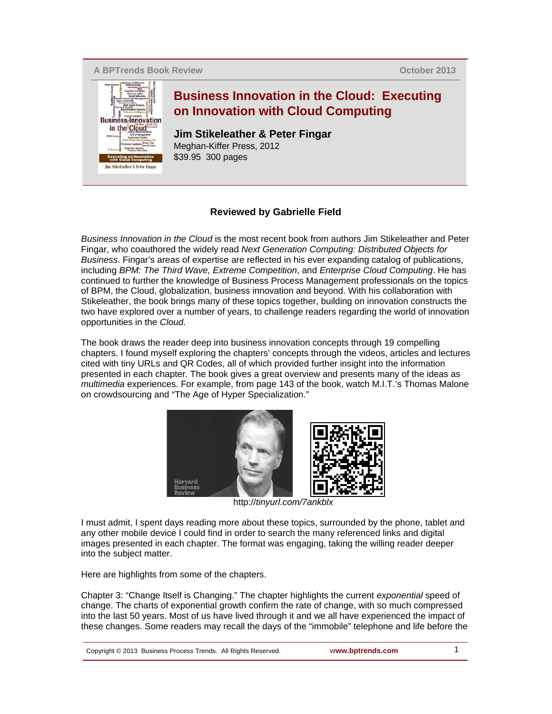**A BPTrends Book Review**

**October 2013**



## **Reviewed by Gabrielle Field**

*Business Innovation in the Cloud* is the most recent book from authors Jim Stikeleather and Peter Fingar, who coauthored the widely read *Next Generation Computing: Distributed Objects for Business*. Fingar's areas of expertise are reflected in his ever expanding catalog of publications, including *BPM: The Third Wave, Extreme Competition*, and *Enterprise Cloud Computing*. He has continued to further the knowledge of Business Process Management professionals on the topics of BPM, the Cloud, globalization, business innovation and beyond. With his collaboration with Stikeleather, the book brings many of these topics together, building on innovation constructs the two have explored over a number of years, to challenge readers regarding the world of innovation opportunities in the *Cloud*.

The book draws the reader deep into business innovation concepts through 19 compelling chapters. I found myself exploring the chapters' concepts through the videos, articles and lectures cited with tiny URLs and QR Codes, all of which provided further insight into the information presented in each chapter. The book gives a great overview and presents many of the ideas as *multimedia* experiences. For example, from page 143 of the book, watch M.I.T.'s Thomas Malone on crowdsourcing and "The Age of Hyper Specialization."



http://*tinyurl.com/7ankblx*

I must admit, I spent days reading more about these topics, surrounded by the phone, tablet and any other mobile device I could find in order to search the many referenced links and digital images presented in each chapter. The format was engaging, taking the willing reader deeper into the subject matter.

Here are highlights from some of the chapters.

Chapter 3: "Change Itself is Changing." The chapter highlights the current *exponential* speed of change. The charts of exponential growth confirm the rate of change, with so much compressed into the last 50 years. Most of us have lived through it and we all have experienced the impact of these changes. Some readers may recall the days of the "immobile" telephone and life before the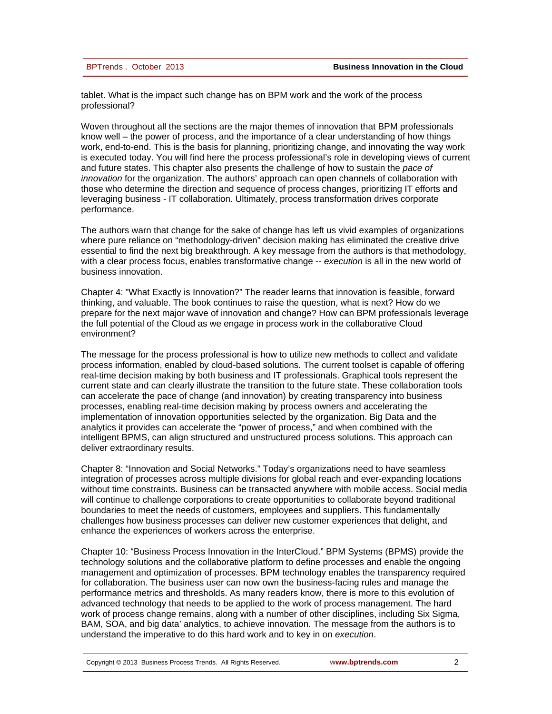| BPTrends, October 2013 |  |  |
|------------------------|--|--|
|------------------------|--|--|

tablet. What is the impact such change has on BPM work and the work of the process professional?

Woven throughout all the sections are the major themes of innovation that BPM professionals know well – the power of process, and the importance of a clear understanding of how things work, end-to-end. This is the basis for planning, prioritizing change, and innovating the way work is executed today. You will find here the process professional's role in developing views of current and future states. This chapter also presents the challenge of how to sustain the *pace of innovation* for the organization. The authors' approach can open channels of collaboration with those who determine the direction and sequence of process changes, prioritizing IT efforts and leveraging business - IT collaboration. Ultimately, process transformation drives corporate performance.

The authors warn that change for the sake of change has left us vivid examples of organizations where pure reliance on "methodology-driven" decision making has eliminated the creative drive essential to find the next big breakthrough. A key message from the authors is that methodology, with a clear process focus, enables transformative change -- *execution* is all in the new world of business innovation.

Chapter 4: "What Exactly is Innovation?" The reader learns that innovation is feasible, forward thinking, and valuable. The book continues to raise the question, what is next? How do we prepare for the next major wave of innovation and change? How can BPM professionals leverage the full potential of the Cloud as we engage in process work in the collaborative Cloud environment?

The message for the process professional is how to utilize new methods to collect and validate process information, enabled by cloud-based solutions. The current toolset is capable of offering real-time decision making by both business and IT professionals. Graphical tools represent the current state and can clearly illustrate the transition to the future state. These collaboration tools can accelerate the pace of change (and innovation) by creating transparency into business processes, enabling real-time decision making by process owners and accelerating the implementation of innovation opportunities selected by the organization. Big Data and the analytics it provides can accelerate the "power of process," and when combined with the intelligent BPMS, can align structured and unstructured process solutions. This approach can deliver extraordinary results.

Chapter 8: "Innovation and Social Networks." Today's organizations need to have seamless integration of processes across multiple divisions for global reach and ever-expanding locations without time constraints. Business can be transacted anywhere with mobile access. Social media will continue to challenge corporations to create opportunities to collaborate beyond traditional boundaries to meet the needs of customers, employees and suppliers. This fundamentally challenges how business processes can deliver new customer experiences that delight, and enhance the experiences of workers across the enterprise.

Chapter 10: "Business Process Innovation in the InterCloud." BPM Systems (BPMS) provide the technology solutions and the collaborative platform to define processes and enable the ongoing management and optimization of processes. BPM technology enables the transparency required for collaboration. The business user can now own the business-facing rules and manage the performance metrics and thresholds. As many readers know, there is more to this evolution of advanced technology that needs to be applied to the work of process management. The hard work of process change remains, along with a number of other disciplines, including Six Sigma, BAM, SOA, and big data' analytics, to achieve innovation. The message from the authors is to understand the imperative to do this hard work and to key in on *execution*.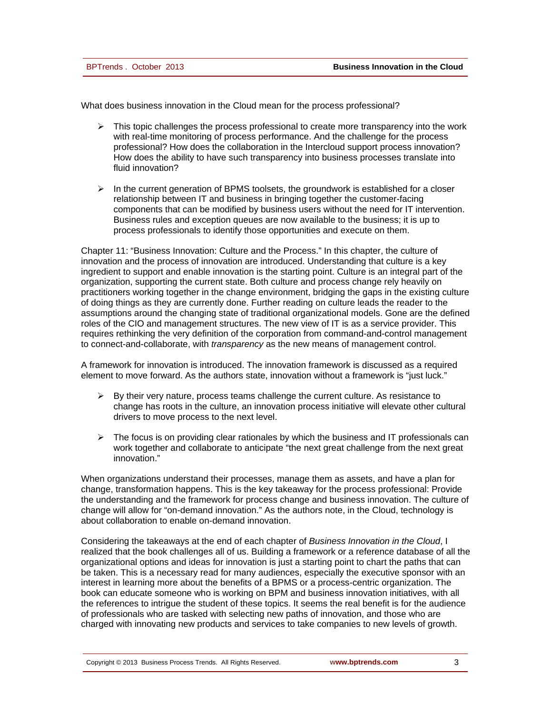What does business innovation in the Cloud mean for the process professional?

- $\triangleright$  This topic challenges the process professional to create more transparency into the work with real-time monitoring of process performance. And the challenge for the process professional? How does the collaboration in the Intercloud support process innovation? How does the ability to have such transparency into business processes translate into fluid innovation?
- $\triangleright$  In the current generation of BPMS toolsets, the groundwork is established for a closer relationship between IT and business in bringing together the customer-facing components that can be modified by business users without the need for IT intervention. Business rules and exception queues are now available to the business; it is up to process professionals to identify those opportunities and execute on them.

Chapter 11: "Business Innovation: Culture and the Process." In this chapter, the culture of innovation and the process of innovation are introduced. Understanding that culture is a key ingredient to support and enable innovation is the starting point. Culture is an integral part of the organization, supporting the current state. Both culture and process change rely heavily on practitioners working together in the change environment, bridging the gaps in the existing culture of doing things as they are currently done. Further reading on culture leads the reader to the assumptions around the changing state of traditional organizational models. Gone are the defined roles of the CIO and management structures. The new view of IT is as a service provider. This requires rethinking the very definition of the corporation from command-and-control management to connect-and-collaborate, with *transparency* as the new means of management control.

A framework for innovation is introduced. The innovation framework is discussed as a required element to move forward. As the authors state, innovation without a framework is "just luck."

- $\triangleright$  By their very nature, process teams challenge the current culture. As resistance to change has roots in the culture, an innovation process initiative will elevate other cultural drivers to move process to the next level.
- $\triangleright$  The focus is on providing clear rationales by which the business and IT professionals can work together and collaborate to anticipate "the next great challenge from the next great innovation."

When organizations understand their processes, manage them as assets, and have a plan for change, transformation happens. This is the key takeaway for the process professional: Provide the understanding and the framework for process change and business innovation. The culture of change will allow for "on-demand innovation." As the authors note, in the Cloud, technology is about collaboration to enable on-demand innovation.

Considering the takeaways at the end of each chapter of *Business Innovation in the Cloud*, I realized that the book challenges all of us. Building a framework or a reference database of all the organizational options and ideas for innovation is just a starting point to chart the paths that can be taken. This is a necessary read for many audiences, especially the executive sponsor with an interest in learning more about the benefits of a BPMS or a process-centric organization. The book can educate someone who is working on BPM and business innovation initiatives, with all the references to intrigue the student of these topics. It seems the real benefit is for the audience of professionals who are tasked with selecting new paths of innovation, and those who are charged with innovating new products and services to take companies to new levels of growth.